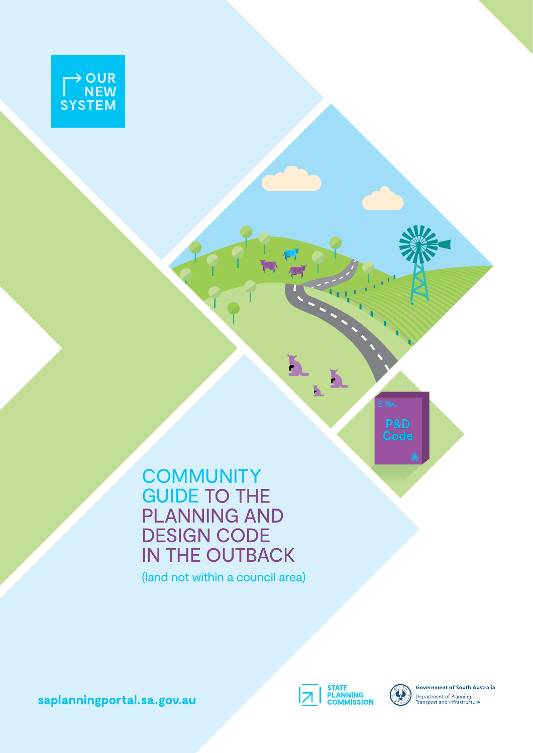

**COMMUNITY** GUIDE TO THE PLANNING AND DESIGN CODE IN THE OUTBACK

(land not within a council area)

saplanningportal.sa.gov.au



ĥ



**Government of South Australia** Department of Planning,<br>Transport and Infrastructure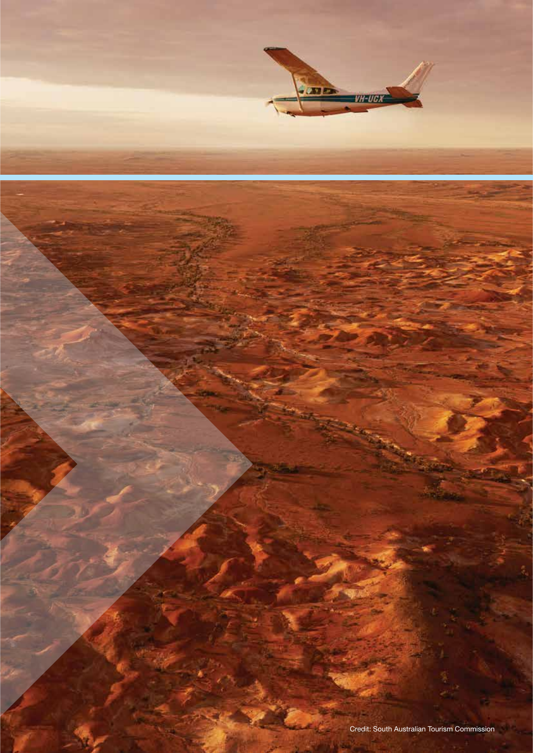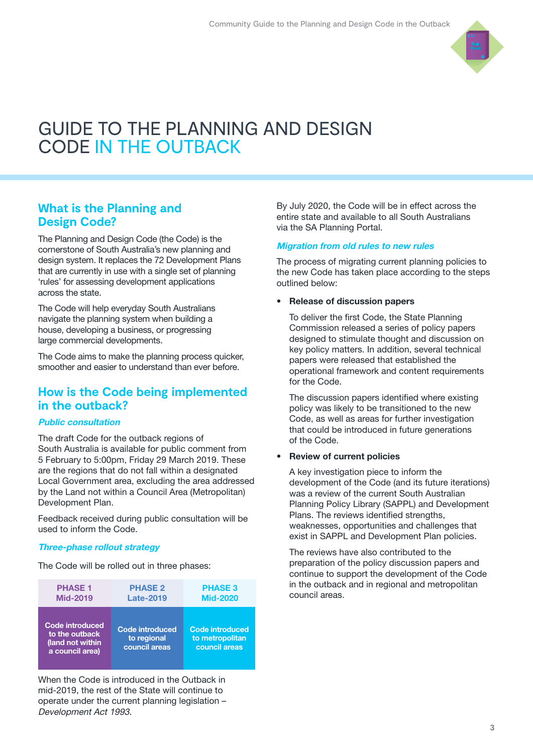

# GUIDE TO THE PLANNING AND DESIGN CODE IN THE OUTBACK

# **What is the Planning and Design Code?**

The Planning and Design Code (the Code) is the cornerstone of South Australia's new planning and design system. It replaces the 72 Development Plans that are currently in use with a single set of planning 'rules' for assessing development applications across the state.

The Code will help everyday South Australians navigate the planning system when building a house, developing a business, or progressing large commercial developments.

The Code aims to make the planning process quicker, smoother and easier to understand than ever before.

## **How is the Code being implemented in the outback?**

#### Public consultation

The draft Code for the outback regions of South Australia is available for public comment from 5 February to 5:00pm, Friday 29 March 2019. These are the regions that do not fall within a designated Local Government area, excluding the area addressed by the Land not within a Council Area (Metropolitan) Development Plan.

Feedback received during public consultation will be used to inform the Code.

#### Three-phase rollout strategy

The Code will be rolled out in three phases:

| <b>PHASE 1</b>                                                                  | <b>PHASE 2</b>                                         | <b>PHASE 3</b>                                      |
|---------------------------------------------------------------------------------|--------------------------------------------------------|-----------------------------------------------------|
| <b>Mid-2019</b>                                                                 | <b>Late-2019</b>                                       | <b>Mid-2020</b>                                     |
| <b>Code introduced</b><br>to the outback<br>(land not within<br>a council area) | <b>Code introduced</b><br>to regional<br>council areas | Code introduced<br>to metropolitan<br>council areas |

When the Code is introduced in the Outback in mid-2019, the rest of the State will continue to operate under the current planning legislation – Development Act 1993.

By July 2020, the Code will be in effect across the entire state and available to all South Australians via the SA Planning Portal.

#### Migration from old rules to new rules

The process of migrating current planning policies to the new Code has taken place according to the steps outlined below:

#### • Release of discussion papers

To deliver the first Code, the State Planning Commission released a series of policy papers designed to stimulate thought and discussion on key policy matters. In addition, several technical papers were released that established the operational framework and content requirements for the Code.

The discussion papers identified where existing policy was likely to be transitioned to the new Code, as well as areas for further investigation that could be introduced in future generations of the Code.

#### • Review of current policies

A key investigation piece to inform the development of the Code (and its future iterations) was a review of the current South Australian Planning Policy Library (SAPPL) and Development Plans. The reviews identified strengths, weaknesses, opportunities and challenges that exist in SAPPL and Development Plan policies.

The reviews have also contributed to the preparation of the policy discussion papers and continue to support the development of the Code in the outback and in regional and metropolitan council areas.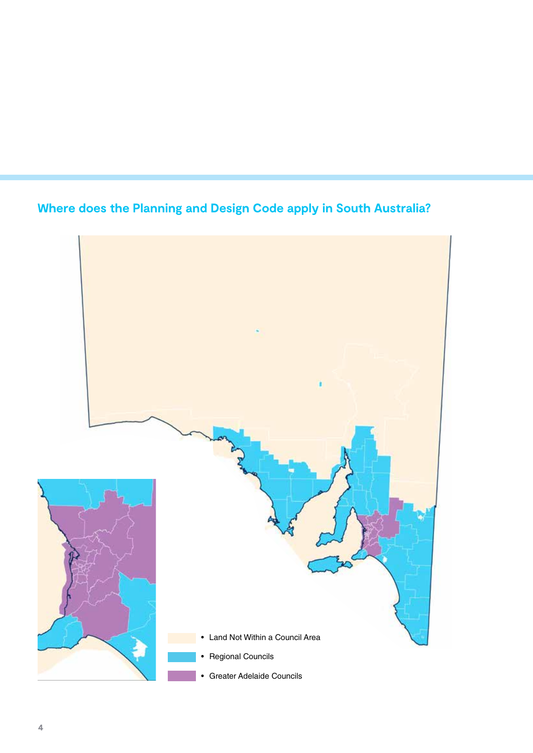# **Where does the Planning and Design Code apply in South Australia?**

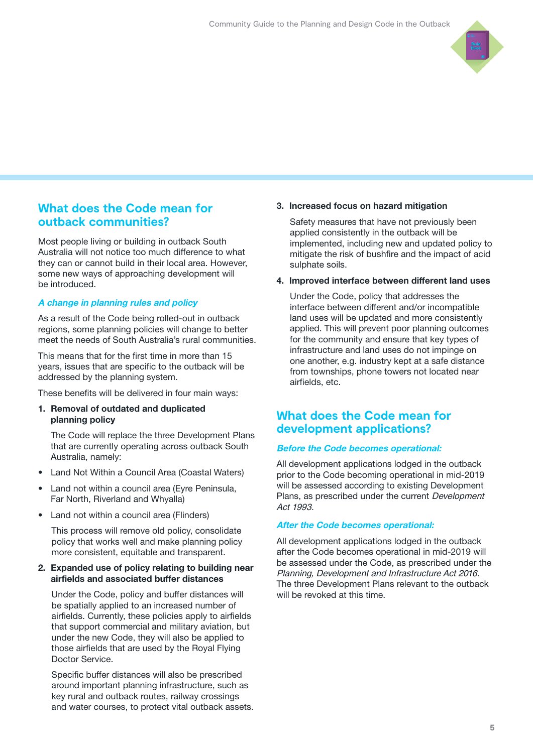

# **What does the Code mean for outback communities?**

Most people living or building in outback South Australia will not notice too much difference to what they can or cannot build in their local area. However, some new ways of approaching development will be introduced.

#### A change in planning rules and policy

As a result of the Code being rolled-out in outback regions, some planning policies will change to better meet the needs of South Australia's rural communities.

This means that for the first time in more than 15 years, issues that are specific to the outback will be addressed by the planning system.

These benefits will be delivered in four main ways:

#### 1. Removal of outdated and duplicated planning policy

The Code will replace the three Development Plans that are currently operating across outback South Australia, namely:

- Land Not Within a Council Area (Coastal Waters)
- Land not within a council area (Eyre Peninsula, Far North, Riverland and Whyalla)
- Land not within a council area (Flinders)

This process will remove old policy, consolidate policy that works well and make planning policy more consistent, equitable and transparent.

#### 2. Expanded use of policy relating to building near airfields and associated buffer distances

Under the Code, policy and buffer distances will be spatially applied to an increased number of airfields. Currently, these policies apply to airfields that support commercial and military aviation, but under the new Code, they will also be applied to those airfields that are used by the Royal Flying Doctor Service.

Specific buffer distances will also be prescribed around important planning infrastructure, such as key rural and outback routes, railway crossings and water courses, to protect vital outback assets.

#### 3. Increased focus on hazard mitigation

Safety measures that have not previously been applied consistently in the outback will be implemented, including new and updated policy to mitigate the risk of bushfire and the impact of acid sulphate soils.

#### 4. Improved interface between different land uses

Under the Code, policy that addresses the interface between different and/or incompatible land uses will be updated and more consistently applied. This will prevent poor planning outcomes for the community and ensure that key types of infrastructure and land uses do not impinge on one another, e.g. industry kept at a safe distance from townships, phone towers not located near airfields, etc.

## **What does the Code mean for development applications?**

#### Before the Code becomes operational:

All development applications lodged in the outback prior to the Code becoming operational in mid-2019 will be assessed according to existing Development Plans, as prescribed under the current Development Act 1993.

#### After the Code becomes operational:

All development applications lodged in the outback after the Code becomes operational in mid-2019 will be assessed under the Code, as prescribed under the Planning, Development and Infrastructure Act 2016. The three Development Plans relevant to the outback will be revoked at this time.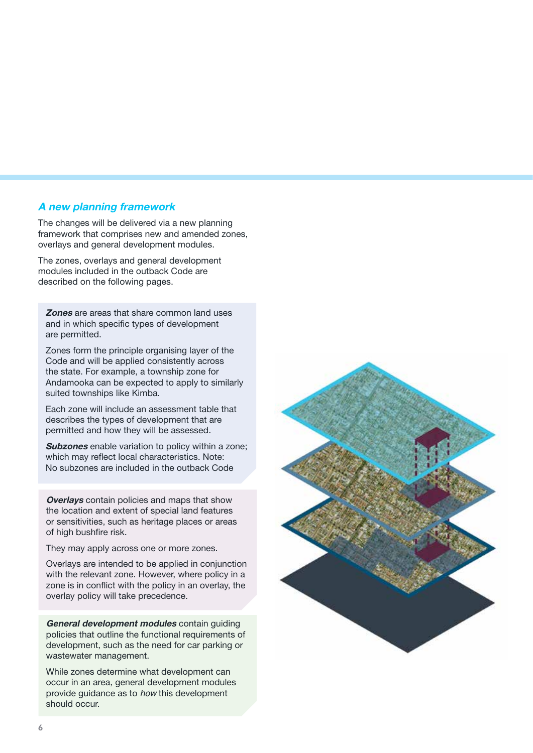#### A new planning framework

The changes will be delivered via a new planning framework that comprises new and amended zones, overlays and general development modules.

The zones, overlays and general development modules included in the outback Code are described on the following pages.

**Zones** are areas that share common land uses and in which specific types of development are permitted.

Zones form the principle organising layer of the Code and will be applied consistently across the state. For example, a township zone for Andamooka can be expected to apply to similarly suited townships like Kimba.

Each zone will include an assessment table that describes the types of development that are permitted and how they will be assessed.

**Subzones** enable variation to policy within a zone: which may reflect local characteristics. Note: No subzones are included in the outback Code

**Overlays** contain policies and maps that show the location and extent of special land features or sensitivities, such as heritage places or areas of high bushfire risk.

They may apply across one or more zones.

Overlays are intended to be applied in conjunction with the relevant zone. However, where policy in a zone is in conflict with the policy in an overlay, the overlay policy will take precedence.

General development modules contain quiding policies that outline the functional requirements of development, such as the need for car parking or wastewater management.

While zones determine what development can occur in an area, general development modules provide guidance as to how this development should occur.

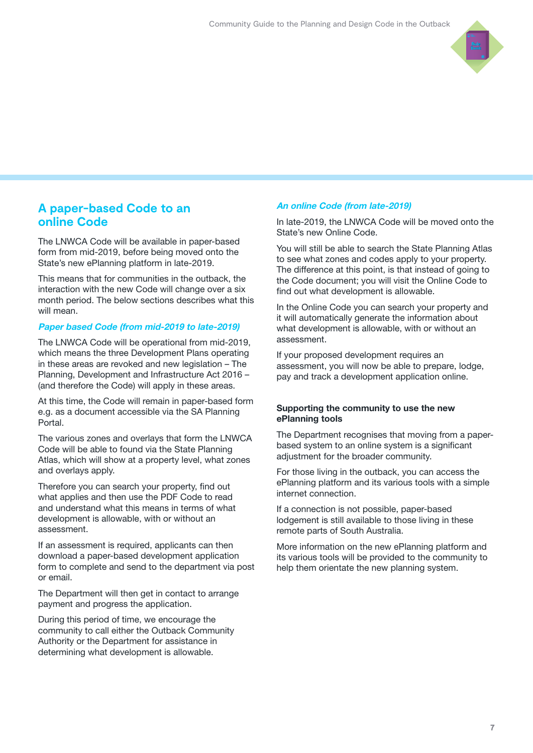

### **A paper-based Code to an online Code**

The LNWCA Code will be available in paper-based form from mid-2019, before being moved onto the State's new ePlanning platform in late-2019.

This means that for communities in the outback, the interaction with the new Code will change over a six month period. The below sections describes what this will mean.

#### Paper based Code (from mid-2019 to late-2019)

The LNWCA Code will be operational from mid-2019, which means the three Development Plans operating in these areas are revoked and new legislation – The Planning, Development and Infrastructure Act 2016 – (and therefore the Code) will apply in these areas.

At this time, the Code will remain in paper-based form e.g. as a document accessible via the SA Planning Portal.

The various zones and overlays that form the LNWCA Code will be able to found via the State Planning Atlas, which will show at a property level, what zones and overlays apply.

Therefore you can search your property, find out what applies and then use the PDF Code to read and understand what this means in terms of what development is allowable, with or without an assessment.

If an assessment is required, applicants can then download a paper-based development application form to complete and send to the department via post or email.

The Department will then get in contact to arrange payment and progress the application.

During this period of time, we encourage the community to call either the Outback Community Authority or the Department for assistance in determining what development is allowable.

#### An online Code (from late-2019)

In late-2019, the LNWCA Code will be moved onto the State's new Online Code.

You will still be able to search the State Planning Atlas to see what zones and codes apply to your property. The difference at this point, is that instead of going to the Code document; you will visit the Online Code to find out what development is allowable.

In the Online Code you can search your property and it will automatically generate the information about what development is allowable, with or without an assessment.

If your proposed development requires an assessment, you will now be able to prepare, lodge, pay and track a development application online.

#### Supporting the community to use the new ePlanning tools

The Department recognises that moving from a paperbased system to an online system is a significant adjustment for the broader community.

For those living in the outback, you can access the ePlanning platform and its various tools with a simple internet connection.

If a connection is not possible, paper-based lodgement is still available to those living in these remote parts of South Australia.

More information on the new ePlanning platform and its various tools will be provided to the community to help them orientate the new planning system.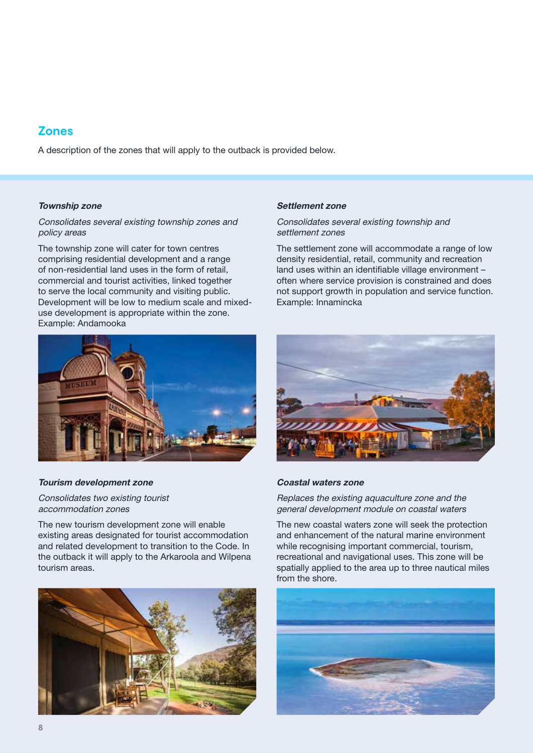# **Zones**

A description of the zones that will apply to the outback is provided below.

#### Township zone

#### Consolidates several existing township zones and policy areas

The township zone will cater for town centres comprising residential development and a range of non-residential land uses in the form of retail, commercial and tourist activities, linked together to serve the local community and visiting public. Development will be low to medium scale and mixeduse development is appropriate within the zone. Example: Andamooka



#### Tourism development zone

Consolidates two existing tourist accommodation zones

The new tourism development zone will enable existing areas designated for tourist accommodation and related development to transition to the Code. In the outback it will apply to the Arkaroola and Wilpena tourism areas.



#### Settlement zone

#### Consolidates several existing township and settlement zones

The settlement zone will accommodate a range of low density residential, retail, community and recreation land uses within an identifiable village environment – often where service provision is constrained and does not support growth in population and service function. Example: Innamincka



#### Coastal waters zone

Replaces the existing aquaculture zone and the general development module on coastal waters

The new coastal waters zone will seek the protection and enhancement of the natural marine environment while recognising important commercial, tourism, recreational and navigational uses. This zone will be spatially applied to the area up to three nautical miles from the shore.

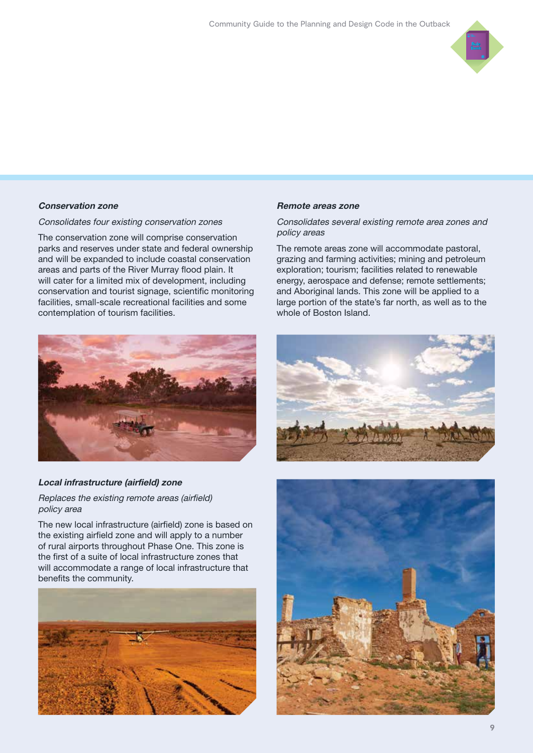

#### Conservation zone

Consolidates four existing conservation zones

The conservation zone will comprise conservation parks and reserves under state and federal ownership and will be expanded to include coastal conservation areas and parts of the River Murray flood plain. It will cater for a limited mix of development, including conservation and tourist signage, scientific monitoring facilities, small-scale recreational facilities and some contemplation of tourism facilities.



#### Local infrastructure (airfield) zone

Replaces the existing remote areas (airfield) policy area

The new local infrastructure (airfield) zone is based on the existing airfield zone and will apply to a number of rural airports throughout Phase One. This zone is the first of a suite of local infrastructure zones that will accommodate a range of local infrastructure that benefits the community.



#### Remote areas zone

Consolidates several existing remote area zones and policy areas

The remote areas zone will accommodate pastoral, grazing and farming activities; mining and petroleum exploration; tourism; facilities related to renewable energy, aerospace and defense; remote settlements; and Aboriginal lands. This zone will be applied to a large portion of the state's far north, as well as to the whole of Boston Island.



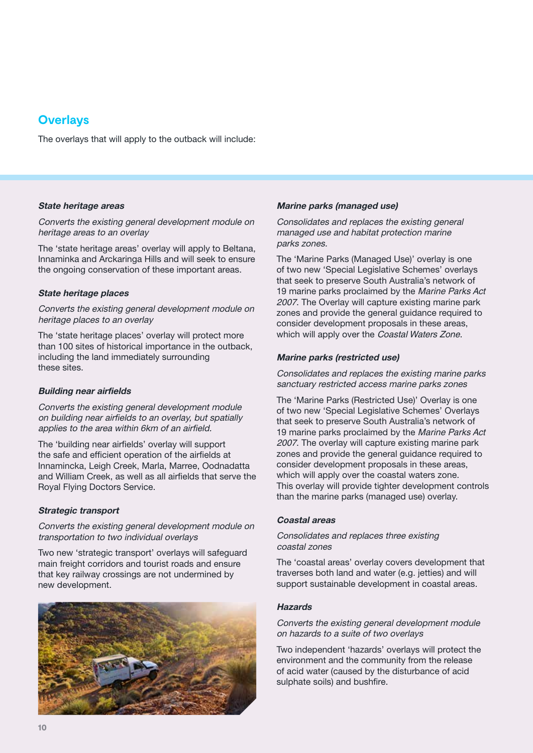# **Overlays**

The overlays that will apply to the outback will include:

#### State heritage areas

#### Converts the existing general development module on heritage areas to an overlay

The 'state heritage areas' overlay will apply to Beltana, Innaminka and Arckaringa Hills and will seek to ensure the ongoing conservation of these important areas.

#### State heritage places

Converts the existing general development module on heritage places to an overlay

The 'state heritage places' overlay will protect more than 100 sites of historical importance in the outback, including the land immediately surrounding these sites.

#### Building near airfields

Converts the existing general development module on building near airfields to an overlay, but spatially applies to the area within 6km of an airfield.

The 'building near airfields' overlay will support the safe and efficient operation of the airfields at Innamincka, Leigh Creek, Marla, Marree, Oodnadatta and William Creek, as well as all airfields that serve the Royal Flying Doctors Service.

#### Strategic transport

#### Converts the existing general development module on transportation to two individual overlays

Two new 'strategic transport' overlays will safeguard main freight corridors and tourist roads and ensure that key railway crossings are not undermined by new development.



#### Marine parks (managed use)

Consolidates and replaces the existing general managed use and habitat protection marine parks zones.

The 'Marine Parks (Managed Use)' overlay is one of two new 'Special Legislative Schemes' overlays that seek to preserve South Australia's network of 19 marine parks proclaimed by the Marine Parks Act 2007. The Overlay will capture existing marine park zones and provide the general guidance required to consider development proposals in these areas, which will apply over the Coastal Waters Zone.

#### Marine parks (restricted use)

Consolidates and replaces the existing marine parks sanctuary restricted access marine parks zones

The 'Marine Parks (Restricted Use)' Overlay is one of two new 'Special Legislative Schemes' Overlays that seek to preserve South Australia's network of 19 marine parks proclaimed by the Marine Parks Act 2007. The overlay will capture existing marine park zones and provide the general guidance required to consider development proposals in these areas, which will apply over the coastal waters zone. This overlay will provide tighter development controls than the marine parks (managed use) overlay.

#### Coastal areas

#### Consolidates and replaces three existing coastal zones

The 'coastal areas' overlay covers development that traverses both land and water (e.g. jetties) and will support sustainable development in coastal areas.

#### **Hazards**

Converts the existing general development module on hazards to a suite of two overlays

Two independent 'hazards' overlays will protect the environment and the community from the release of acid water (caused by the disturbance of acid sulphate soils) and bushfire.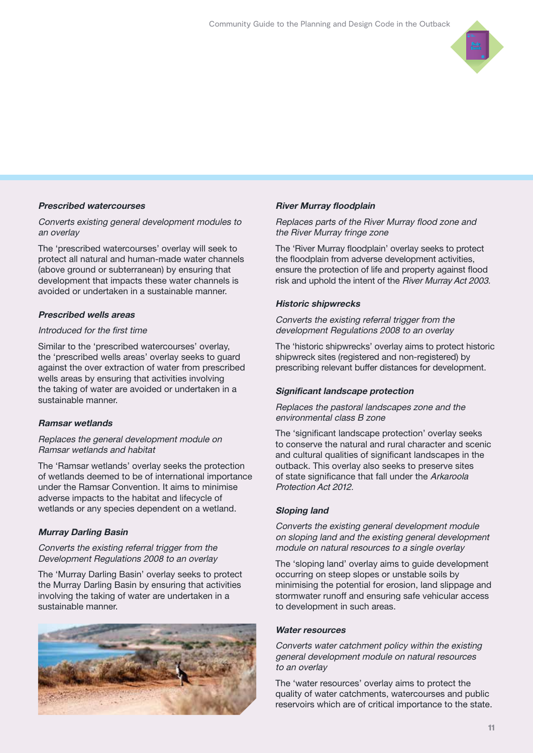

#### Prescribed watercourses

#### Converts existing general development modules to an overlay

The 'prescribed watercourses' overlay will seek to protect all natural and human-made water channels (above ground or subterranean) by ensuring that development that impacts these water channels is avoided or undertaken in a sustainable manner.

#### Prescribed wells areas

#### Introduced for the first time

Similar to the 'prescribed watercourses' overlay, the 'prescribed wells areas' overlay seeks to guard against the over extraction of water from prescribed wells areas by ensuring that activities involving the taking of water are avoided or undertaken in a sustainable manner.

#### Ramsar wetlands

#### Replaces the general development module on Ramsar wetlands and habitat

The 'Ramsar wetlands' overlay seeks the protection of wetlands deemed to be of international importance under the Ramsar Convention. It aims to minimise adverse impacts to the habitat and lifecycle of wetlands or any species dependent on a wetland.

#### Murray Darling Basin

#### Converts the existing referral trigger from the Development Regulations 2008 to an overlay

The 'Murray Darling Basin' overlay seeks to protect the Murray Darling Basin by ensuring that activities involving the taking of water are undertaken in a sustainable manner.



#### River Murray floodplain

#### Replaces parts of the River Murray flood zone and the River Murray fringe zone

The 'River Murray floodplain' overlay seeks to protect the floodplain from adverse development activities, ensure the protection of life and property against flood risk and uphold the intent of the River Murray Act 2003.

#### Historic shipwrecks

Converts the existing referral trigger from the development Regulations 2008 to an overlay

The 'historic shipwrecks' overlay aims to protect historic shipwreck sites (registered and non-registered) by prescribing relevant buffer distances for development.

#### Significant landscape protection

#### Replaces the pastoral landscapes zone and the environmental class B zone

The 'significant landscape protection' overlay seeks to conserve the natural and rural character and scenic and cultural qualities of significant landscapes in the outback. This overlay also seeks to preserve sites of state significance that fall under the Arkaroola Protection Act 2012.

#### Sloping land

Converts the existing general development module on sloping land and the existing general development module on natural resources to a single overlay

The 'sloping land' overlay aims to guide development occurring on steep slopes or unstable soils by minimising the potential for erosion, land slippage and stormwater runoff and ensuring safe vehicular access to development in such areas.

#### Water resources

Converts water catchment policy within the existing general development module on natural resources to an overlay

The 'water resources' overlay aims to protect the quality of water catchments, watercourses and public reservoirs which are of critical importance to the state.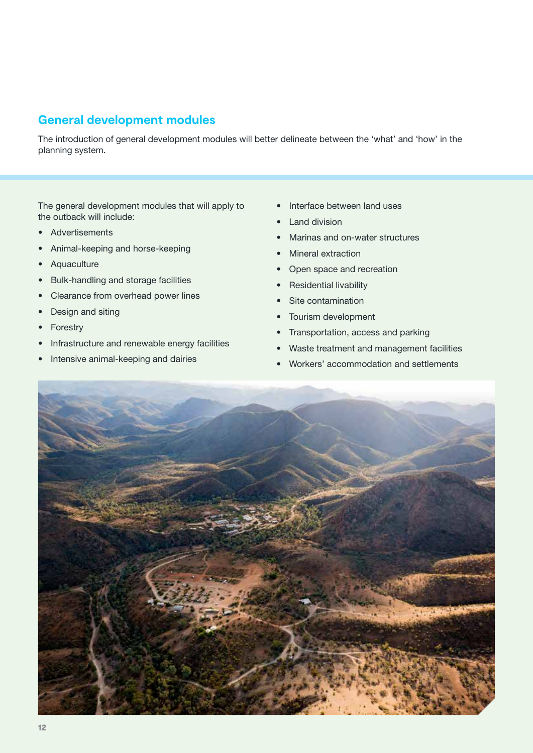# **General development modules**

The introduction of general development modules will better delineate between the 'what' and 'how' in the planning system.

The general development modules that will apply to the outback will include:

- Advertisements
- Animal-keeping and horse-keeping
- Aquaculture
- Bulk-handling and storage facilities
- Clearance from overhead power lines
- Design and siting
- Forestry
- Infrastructure and renewable energy facilities
- Intensive animal-keeping and dairies
- Interface between land uses
- Land division
- Marinas and on-water structures
- Mineral extraction
- Open space and recreation
- Residential livability
- Site contamination
- Tourism development
- Transportation, access and parking
- Waste treatment and management facilities
- Workers' accommodation and settlements

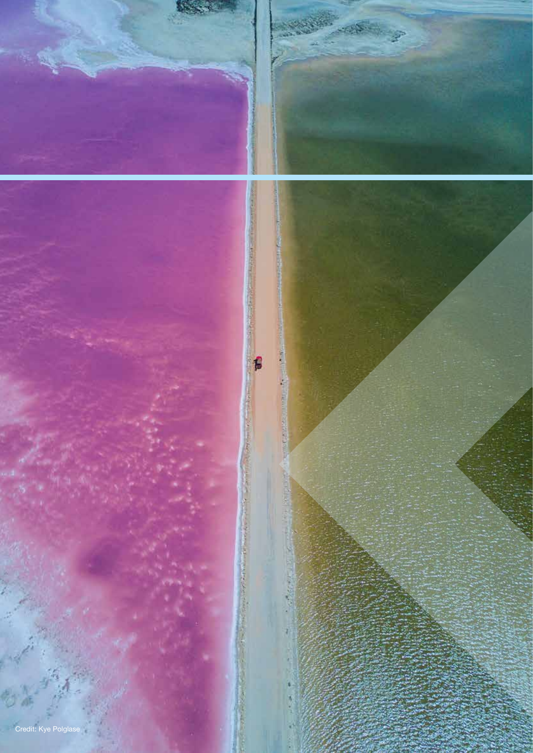